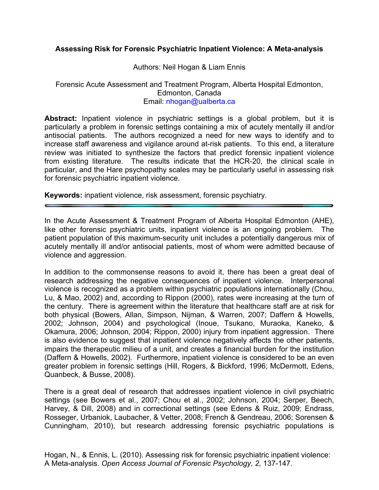### **Assessing Risk for Forensic Psychiatric Inpatient Violence: A Meta-analysis**

#### Authors: Neil Hogan & Liam Ennis

#### Forensic Acute Assessment and Treatment Program, Alberta Hospital Edmonton, Edmonton, Canada Email: nhogan@ualberta.ca

**Abstract:** Inpatient violence in psychiatric settings is a global problem, but it is particularly a problem in forensic settings containing a mix of acutely mentally ill and/or antisocial patients. The authors recognized a need for new ways to identify and to increase staff awareness and vigilance around at-risk patients. To this end, a literature review was initiated to synthesize the factors that predict forensic inpatient violence from existing literature. The results indicate that the HCR-20, the clinical scale in particular, and the Hare psychopathy scales may be particularly useful in assessing risk for forensic psychiatric inpatient violence.

**Keywords:** inpatient violence, risk assessment, forensic psychiatry.

In the Acute Assessment & Treatment Program of Alberta Hospital Edmonton (AHE), like other forensic psychiatric units, inpatient violence is an ongoing problem. The patient population of this maximum-security unit includes a potentially dangerous mix of acutely mentally ill and/or antisocial patients, most of whom were admitted because of violence and aggression.

In addition to the commonsense reasons to avoid it, there has been a great deal of research addressing the negative consequences of inpatient violence. Interpersonal violence is recognized as a problem within psychiatric populations internationally (Chou, Lu, & Mao, 2002) and, according to Rippon (2000), rates were increasing at the turn of the century. There is agreement within the literature that healthcare staff are at risk for both physical (Bowers, Allan, Simpson, Nijman, & Warren, 2007; Daffern & Howells, 2002; Johnson, 2004) and psychological (Inoue, Tsukano, Muraoka, Kaneko, & Okamura, 2006; Johnson, 2004; Rippon, 2000) injury from inpatient aggression. There is also evidence to suggest that inpatient violence negatively affects the other patients, impairs the therapeutic milieu of a unit, and creates a financial burden for the institution (Daffern & Howells, 2002). Furthermore, inpatient violence is considered to be an even greater problem in forensic settings (Hill, Rogers, & Bickford, 1996; McDermott, Edens, Quanbeck, & Busse, 2008).

There is a great deal of research that addresses inpatient violence in civil psychiatric settings (see Bowers et al., 2007; Chou et al., 2002; Johnson, 2004; Serper, Beech, Harvey, & Dill, 2008) and in correctional settings (see Edens & Ruiz, 2009; Endrass, Rosseger, Urbaniok, Laubacher, & Vetter, 2008; French & Gendreau, 2006; Sorensen & Cunningham, 2010), but research addressing forensic psychiatric populations is

Hogan, N., & Ennis, L. (2010). Assessing risk for forensic psychiatric inpatient violence: A Meta-analysis. *Open Access Journal of Forensic Psychology, 2,* 137-147.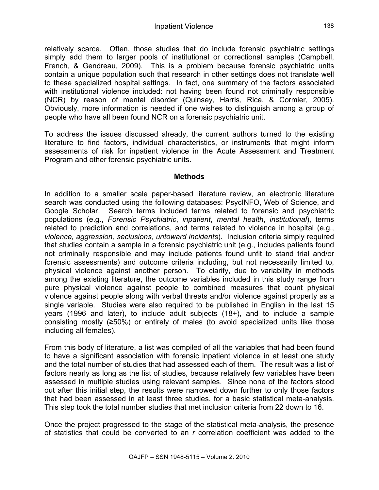relatively scarce. Often, those studies that do include forensic psychiatric settings simply add them to larger pools of institutional or correctional samples (Campbell, French, & Gendreau, 2009). This is a problem because forensic psychiatric units contain a unique population such that research in other settings does not translate well to these specialized hospital settings. In fact, one summary of the factors associated with institutional violence included: not having been found not criminally responsible (NCR) by reason of mental disorder (Quinsey, Harris, Rice, & Cormier, 2005). Obviously, more information is needed if one wishes to distinguish among a group of people who have all been found NCR on a forensic psychiatric unit.

To address the issues discussed already, the current authors turned to the existing literature to find factors, individual characteristics, or instruments that might inform assessments of risk for inpatient violence in the Acute Assessment and Treatment Program and other forensic psychiatric units.

### **Methods**

In addition to a smaller scale paper-based literature review, an electronic literature search was conducted using the following databases: PsycINFO, Web of Science, and Google Scholar. Search terms included terms related to forensic and psychiatric populations (e.g., *Forensic Psychiatric*, *inpatient*, *mental health*, *institutional*), terms related to prediction and correlations, and terms related to violence in hospital (e.g., *violence, aggression, seclusions, untoward incidents*). Inclusion criteria simply required that studies contain a sample in a forensic psychiatric unit (e.g., includes patients found not criminally responsible and may include patients found unfit to stand trial and/or forensic assessments) and outcome criteria including, but not necessarily limited to, physical violence against another person. To clarify, due to variability in methods among the existing literature, the outcome variables included in this study range from pure physical violence against people to combined measures that count physical violence against people along with verbal threats and/or violence against property as a single variable. Studies were also required to be published in English in the last 15 years (1996 and later), to include adult subjects (18+), and to include a sample consisting mostly (≥50%) or entirely of males (to avoid specialized units like those including all females).

From this body of literature, a list was compiled of all the variables that had been found to have a significant association with forensic inpatient violence in at least one study and the total number of studies that had assessed each of them. The result was a list of factors nearly as long as the list of studies, because relatively few variables have been assessed in multiple studies using relevant samples. Since none of the factors stood out after this initial step, the results were narrowed down further to only those factors that had been assessed in at least three studies, for a basic statistical meta-analysis. This step took the total number studies that met inclusion criteria from 22 down to 16.

Once the project progressed to the stage of the statistical meta-analysis, the presence of statistics that could be converted to an *r* correlation coefficient was added to the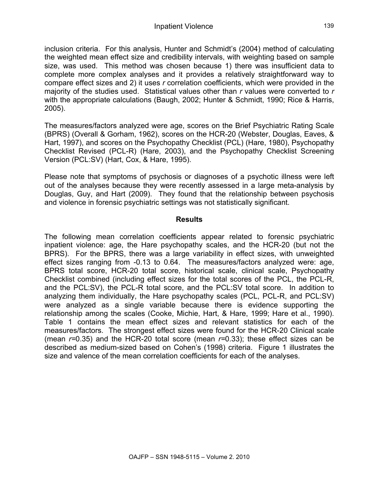inclusion criteria. For this analysis, Hunter and Schmidt's (2004) method of calculating the weighted mean effect size and credibility intervals, with weighting based on sample size, was used. This method was chosen because 1) there was insufficient data to complete more complex analyses and it provides a relatively straightforward way to compare effect sizes and 2) it uses *r* correlation coefficients, which were provided in the majority of the studies used. Statistical values other than *r* values were converted to *r* with the appropriate calculations (Baugh, 2002; Hunter & Schmidt, 1990; Rice & Harris, 2005).

The measures/factors analyzed were age, scores on the Brief Psychiatric Rating Scale (BPRS) (Overall & Gorham, 1962), scores on the HCR-20 (Webster, Douglas, Eaves, & Hart, 1997), and scores on the Psychopathy Checklist (PCL) (Hare, 1980), Psychopathy Checklist Revised (PCL-R) (Hare, 2003), and the Psychopathy Checklist Screening Version (PCL:SV) (Hart, Cox, & Hare, 1995).

Please note that symptoms of psychosis or diagnoses of a psychotic illness were left out of the analyses because they were recently assessed in a large meta-analysis by Douglas, Guy, and Hart (2009). They found that the relationship between psychosis and violence in forensic psychiatric settings was not statistically significant.

### **Results**

The following mean correlation coefficients appear related to forensic psychiatric inpatient violence: age, the Hare psychopathy scales, and the HCR-20 (but not the BPRS). For the BPRS, there was a large variability in effect sizes, with unweighted effect sizes ranging from -0.13 to 0.64. The measures/factors analyzed were: age, BPRS total score, HCR-20 total score, historical scale, clinical scale, Psychopathy Checklist combined (including effect sizes for the total scores of the PCL, the PCL-R, and the PCL:SV), the PCL-R total score, and the PCL:SV total score. In addition to analyzing them individually, the Hare psychopathy scales (PCL, PCL-R, and PCL:SV) were analyzed as a single variable because there is evidence supporting the relationship among the scales (Cooke, Michie, Hart, & Hare, 1999; Hare et al., 1990). Table 1 contains the mean effect sizes and relevant statistics for each of the measures/factors. The strongest effect sizes were found for the HCR-20 Clinical scale (mean *r=*0.35) and the HCR-20 total score (mean *r=*0.33); these effect sizes can be described as medium-sized based on Cohen's (1998) criteria. Figure 1 illustrates the size and valence of the mean correlation coefficients for each of the analyses.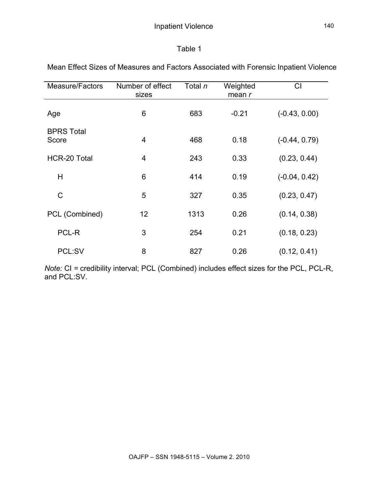## Table 1

| <b>Measure/Factors</b>     | Number of effect<br>sizes | Total n | Weighted<br>mean r | CI              |
|----------------------------|---------------------------|---------|--------------------|-----------------|
| Age                        | 6                         | 683     | $-0.21$            | $(-0.43, 0.00)$ |
| <b>BPRS Total</b><br>Score | 4                         | 468     | 0.18               | $(-0.44, 0.79)$ |
| <b>HCR-20 Total</b>        | $\overline{4}$            | 243     | 0.33               | (0.23, 0.44)    |
| H                          | 6                         | 414     | 0.19               | $(-0.04, 0.42)$ |
| $\mathsf{C}$               | 5                         | 327     | 0.35               | (0.23, 0.47)    |
| PCL (Combined)             | 12                        | 1313    | 0.26               | (0.14, 0.38)    |
| PCL-R                      | 3                         | 254     | 0.21               | (0.18, 0.23)    |
| PCL:SV                     | 8                         | 827     | 0.26               | (0.12, 0.41)    |

Mean Effect Sizes of Measures and Factors Associated with Forensic Inpatient Violence

*Note:* CI *=* credibility interval; PCL (Combined) includes effect sizes for the PCL, PCL-R, and PCL:SV.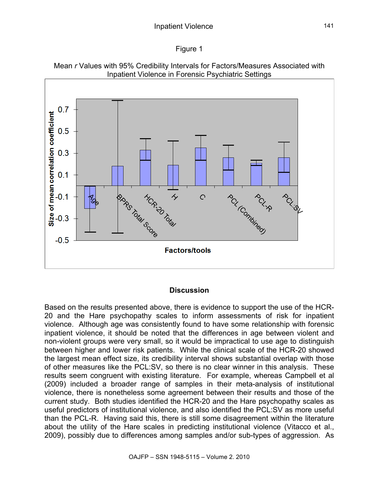





#### **Discussion**

Based on the results presented above, there is evidence to support the use of the HCR-20 and the Hare psychopathy scales to inform assessments of risk for inpatient violence. Although age was consistently found to have some relationship with forensic inpatient violence, it should be noted that the differences in age between violent and non-violent groups were very small, so it would be impractical to use age to distinguish between higher and lower risk patients. While the clinical scale of the HCR-20 showed the largest mean effect size, its credibility interval shows substantial overlap with those of other measures like the PCL:SV, so there is no clear winner in this analysis. These results seem congruent with existing literature. For example, whereas Campbell et al (2009) included a broader range of samples in their meta-analysis of institutional violence, there is nonetheless some agreement between their results and those of the current study. Both studies identified the HCR-20 and the Hare psychopathy scales as useful predictors of institutional violence, and also identified the PCL:SV as more useful than the PCL-R. Having said this, there is still some disagreement within the literature about the utility of the Hare scales in predicting institutional violence (Vitacco et al., 2009), possibly due to differences among samples and/or sub-types of aggression. As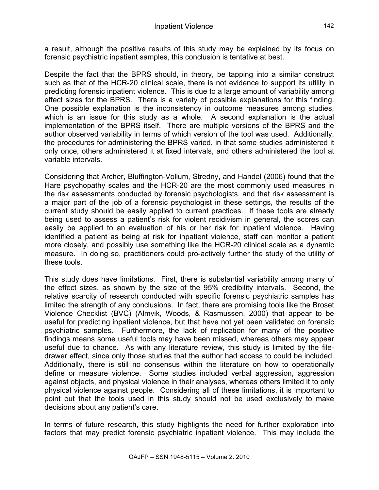a result, although the positive results of this study may be explained by its focus on forensic psychiatric inpatient samples, this conclusion is tentative at best.

Despite the fact that the BPRS should, in theory, be tapping into a similar construct such as that of the HCR-20 clinical scale, there is not evidence to support its utility in predicting forensic inpatient violence. This is due to a large amount of variability among effect sizes for the BPRS. There is a variety of possible explanations for this finding. One possible explanation is the inconsistency in outcome measures among studies, which is an issue for this study as a whole. A second explanation is the actual implementation of the BPRS itself. There are multiple versions of the BPRS and the author observed variability in terms of which version of the tool was used. Additionally, the procedures for administering the BPRS varied, in that some studies administered it only once, others administered it at fixed intervals, and others administered the tool at variable intervals.

Considering that Archer, Bluffington-Vollum, Stredny, and Handel (2006) found that the Hare psychopathy scales and the HCR-20 are the most commonly used measures in the risk assessments conducted by forensic psychologists, and that risk assessment is a major part of the job of a forensic psychologist in these settings, the results of the current study should be easily applied to current practices. If these tools are already being used to assess a patient's risk for violent recidivism in general, the scores can easily be applied to an evaluation of his or her risk for inpatient violence. Having identified a patient as being at risk for inpatient violence, staff can monitor a patient more closely, and possibly use something like the HCR-20 clinical scale as a dynamic measure. In doing so, practitioners could pro-actively further the study of the utility of these tools.

This study does have limitations. First, there is substantial variability among many of the effect sizes, as shown by the size of the 95% credibility intervals. Second, the relative scarcity of research conducted with specific forensic psychiatric samples has limited the strength of any conclusions. In fact, there are promising tools like the Broset Violence Checklist (BVC) (Almvik, Woods, & Rasmussen, 2000) that appear to be useful for predicting inpatient violence, but that have not yet been validated on forensic psychiatric samples. Furthermore, the lack of replication for many of the positive findings means some useful tools may have been missed, whereas others may appear useful due to chance. As with any literature review, this study is limited by the filedrawer effect, since only those studies that the author had access to could be included. Additionally, there is still no consensus within the literature on how to operationally define or measure violence. Some studies included verbal aggression, aggression against objects, and physical violence in their analyses, whereas others limited it to only physical violence against people. Considering all of these limitations, it is important to point out that the tools used in this study should not be used exclusively to make decisions about any patient's care.

In terms of future research, this study highlights the need for further exploration into factors that may predict forensic psychiatric inpatient violence. This may include the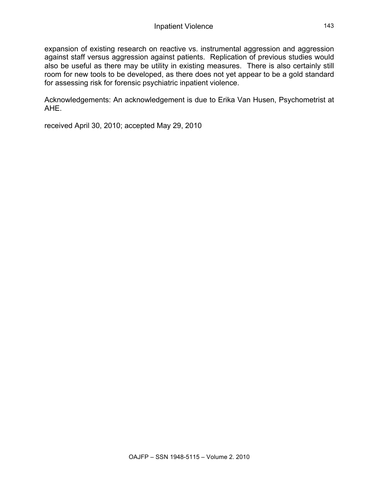expansion of existing research on reactive vs. instrumental aggression and aggression against staff versus aggression against patients. Replication of previous studies would also be useful as there may be utility in existing measures. There is also certainly still room for new tools to be developed, as there does not yet appear to be a gold standard for assessing risk for forensic psychiatric inpatient violence.

Acknowledgements: An acknowledgement is due to Erika Van Husen, Psychometrist at AHE.

received April 30, 2010; accepted May 29, 2010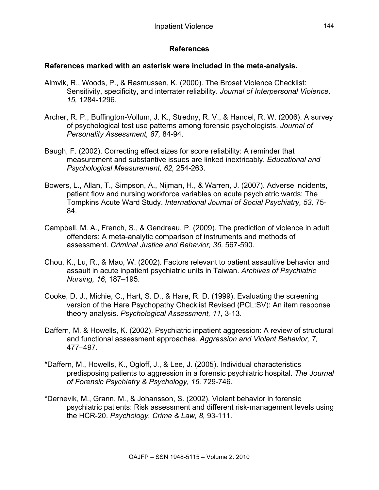# **References**

## **References marked with an asterisk were included in the meta-analysis.**

- Almvik, R., Woods, P., & Rasmussen, K. (2000). The Broset Violence Checklist: Sensitivity, specificity, and interrater reliability. *Journal of Interpersonal Violence, 15,* 1284-1296.
- Archer, R. P., Buffington-Vollum, J. K., Stredny, R. V., & Handel, R. W. (2006). A survey of psychological test use patterns among forensic psychologists. *Journal of Personality Assessment, 87,* 84-94.
- Baugh, F. (2002). Correcting effect sizes for score reliability: A reminder that measurement and substantive issues are linked inextricably. *Educational and Psychological Measurement, 62,* 254-263.
- Bowers, L., Allan, T., Simpson, A., Nijman, H., & Warren, J. (2007). Adverse incidents, patient flow and nursing workforce variables on acute psychiatric wards: The Tompkins Acute Ward Study. *International Journal of Social Psychiatry, 53,* 75- 84.
- Campbell, M. A., French, S., & Gendreau, P. (2009). The prediction of violence in adult offenders: A meta-analytic comparison of instruments and methods of assessment. *Criminal Justice and Behavior, 36,* 567-590.
- Chou, K., Lu, R., & Mao, W. (2002). Factors relevant to patient assaultive behavior and assault in acute inpatient psychiatric units in Taiwan. *Archives of Psychiatric Nursing, 16*, 187–195.
- Cooke, D. J., Michie, C., Hart, S. D., & Hare, R. D. (1999). Evaluating the screening version of the Hare Psychopathy Checklist Revised (PCL:SV): An item response theory analysis. *Psychological Assessment, 11,* 3-13.
- Daffern, M. & Howells, K. (2002). Psychiatric inpatient aggression: A review of structural and functional assessment approaches. *Aggression and Violent Behavior, 7,*  477–497.
- \*Daffern, M., Howells, K., Ogloff, J., & Lee, J. (2005). Individual characteristics predisposing patients to aggression in a forensic psychiatric hospital. *The Journal of Forensic Psychiatry & Psychology, 16,* 729-746.
- \*Dernevik, M., Grann, M., & Johansson, S. (2002). Violent behavior in forensic psychiatric patients: Risk assessment and different risk-management levels using the HCR-20. *Psychology, Crime & Law, 8,* 93-111.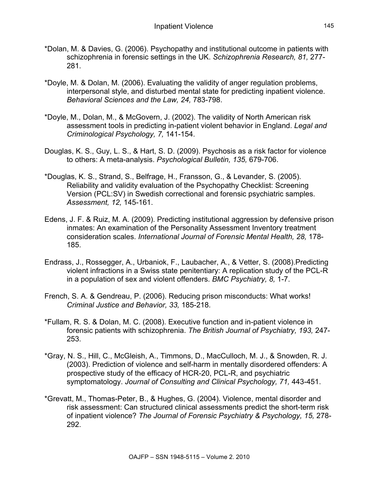- \*Dolan, M. & Davies, G. (2006). Psychopathy and institutional outcome in patients with schizophrenia in forensic settings in the UK. *Schizophrenia Research, 81,* 277- 281.
- \*Doyle, M. & Dolan, M. (2006). Evaluating the validity of anger regulation problems, interpersonal style, and disturbed mental state for predicting inpatient violence. *Behavioral Sciences and the Law, 24,* 783-798.
- \*Doyle, M., Dolan, M., & McGovern, J. (2002). The validity of North American risk assessment tools in predicting in-patient violent behavior in England. *Legal and Criminological Psychology, 7,* 141-154.
- Douglas, K. S., Guy, L. S., & Hart, S. D. (2009). Psychosis as a risk factor for violence to others: A meta-analysis. *Psychological Bulletin, 135,* 679-706.
- \*Douglas, K. S., Strand, S., Belfrage, H., Fransson, G., & Levander, S. (2005). Reliability and validity evaluation of the Psychopathy Checklist: Screening Version (PCL:SV) in Swedish correctional and forensic psychiatric samples. *Assessment, 12,* 145-161.
- Edens, J. F. & Ruiz, M. A. (2009). Predicting institutional aggression by defensive prison inmates: An examination of the Personality Assessment Inventory treatment consideration scales. *International Journal of Forensic Mental Health, 28,* 178- 185.
- Endrass, J., Rossegger, A., Urbaniok, F., Laubacher, A., & Vetter, S. (2008).Predicting violent infractions in a Swiss state penitentiary: A replication study of the PCL-R in a population of sex and violent offenders. *BMC Psychiatry, 8,* 1-7.
- French, S. A. & Gendreau, P. (2006). Reducing prison misconducts: What works! *Criminal Justice and Behavior, 33,* 185-218.
- \*Fullam, R. S. & Dolan, M. C. (2008). Executive function and in-patient violence in forensic patients with schizophrenia. *The British Journal of Psychiatry, 193,* 247- 253.
- \*Gray, N. S., Hill, C., McGleish, A., Timmons, D., MacCulloch, M. J., & Snowden, R. J. (2003). Prediction of violence and self-harm in mentally disordered offenders: A prospective study of the efficacy of HCR-20, PCL-R, and psychiatric symptomatology. *Journal of Consulting and Clinical Psychology, 71,* 443-451.
- \*Grevatt, M., Thomas-Peter, B., & Hughes, G. (2004). Violence, mental disorder and risk assessment: Can structured clinical assessments predict the short-term risk of inpatient violence? *The Journal of Forensic Psychiatry & Psychology, 15,* 278- 292.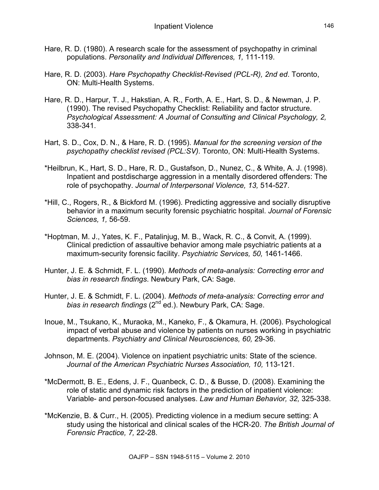- Hare, R. D. (1980). A research scale for the assessment of psychopathy in criminal populations. *Personality and Individual Differences, 1,* 111-119.
- Hare, R. D. (2003). *Hare Psychopathy Checklist-Revised (PCL-R), 2nd ed*. Toronto, ON: Multi-Health Systems.
- Hare, R. D., Harpur, T. J., Hakstian, A. R., Forth, A. E., Hart, S. D., & Newman, J. P. (1990). The revised Psychopathy Checklist: Reliability and factor structure. *Psychological Assessment: A Journal of Consulting and Clinical Psychology, 2,*  338-341.
- Hart, S. D., Cox, D. N., & Hare, R. D. (1995). *Manual for the screening version of the psychopathy checklist revised (PCL:SV).* Toronto, ON: Multi-Health Systems.
- \*Heilbrun, K., Hart, S. D., Hare, R. D., Gustafson, D., Nunez, C., & White, A. J. (1998). Inpatient and postdischarge aggression in a mentally disordered offenders: The role of psychopathy. *Journal of Interpersonal Violence, 13,* 514-527*.*
- \*Hill, C., Rogers, R., & Bickford M. (1996). Predicting aggressive and socially disruptive behavior in a maximum security forensic psychiatric hospital. *Journal of Forensic Sciences, 1,* 56-59.
- \*Hoptman, M. J., Yates, K. F., Patalinjug, M. B., Wack, R. C., & Convit, A. (1999). Clinical prediction of assaultive behavior among male psychiatric patients at a maximum-security forensic facility. *Psychiatric Services, 50,* 1461-1466.
- Hunter, J. E. & Schmidt, F. L. (1990). *Methods of meta-analysis: Correcting error and bias in research findings*. Newbury Park, CA: Sage.
- Hunter, J. E. & Schmidt, F. L. (2004). *Methods of meta-analysis: Correcting error and bias in research findings* (2<sup>nd ed.). Newbury Park, CA: Sage.</sup>
- Inoue, M., Tsukano, K., Muraoka, M., Kaneko, F., & Okamura, H. (2006). Psychological impact of verbal abuse and violence by patients on nurses working in psychiatric departments. *Psychiatry and Clinical Neurosciences, 60,* 29-36.
- Johnson, M. E. (2004). Violence on inpatient psychiatric units: State of the science. *Journal of the American Psychiatric Nurses Association, 10,* 113-121.
- \*McDermott, B. E., Edens, J. F., Quanbeck, C. D., & Busse, D. (2008). Examining the role of static and dynamic risk factors in the prediction of inpatient violence: Variable- and person-focused analyses. *Law and Human Behavior, 32,* 325-338.
- \*McKenzie, B. & Curr., H. (2005). Predicting violence in a medium secure setting: A study using the historical and clinical scales of the HCR-20. *The British Journal of Forensic Practice, 7,* 22-28.